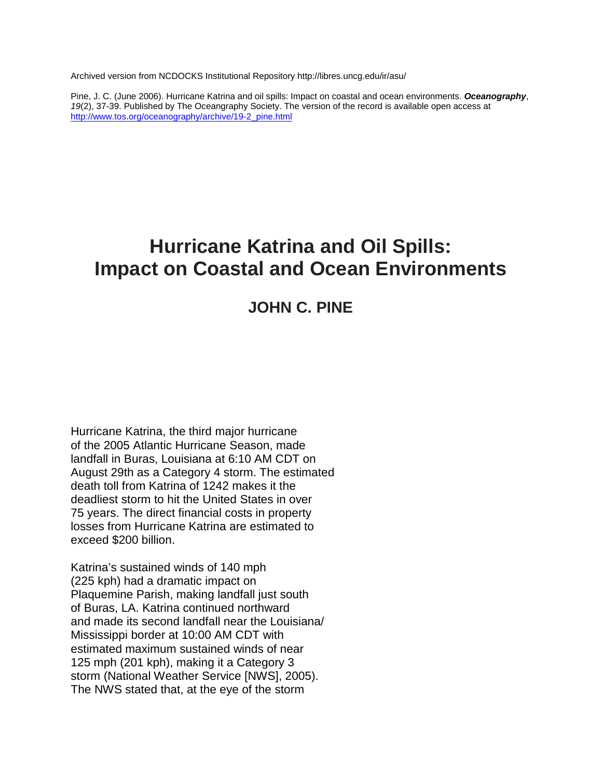Archived version from NCDOCKS Institutional Repository http://libres.uncg.edu/ir/asu/

Pine, J. C. (June 2006). Hurricane Katrina and oil spills: Impact on coastal and ocean environments. *Oceanography*, *19*(2), 37-39. Published by The Oceangraphy Society. The version of the record is available open access at [http://www.tos.org/oceanography/archive/19-2\\_pine.html](http://www.tos.org/oceanography/archive/19-2_pine.html)

## **Hurricane Katrina and Oil Spills: Impact on Coastal and Ocean Environments**

## **JOHN C. PINE**

Hurricane Katrina, the third major hurricane of the 2005 Atlantic Hurricane Season, made landfall in Buras, Louisiana at 6:10 AM CDT on August 29th as a Category 4 storm. The estimated death toll from Katrina of 1242 makes it the deadliest storm to hit the United States in over 75 years. The direct financial costs in property losses from Hurricane Katrina are estimated to exceed \$200 billion.

Katrina's sustained winds of 140 mph (225 kph) had a dramatic impact on Plaquemine Parish, making landfall just south of Buras, LA. Katrina continued northward and made its second landfall near the Louisiana/ Mississippi border at 10:00 AM CDT with estimated maximum sustained winds of near 125 mph (201 kph), making it a Category 3 storm (National Weather Service [NWS], 2005). The NWS stated that, at the eye of the storm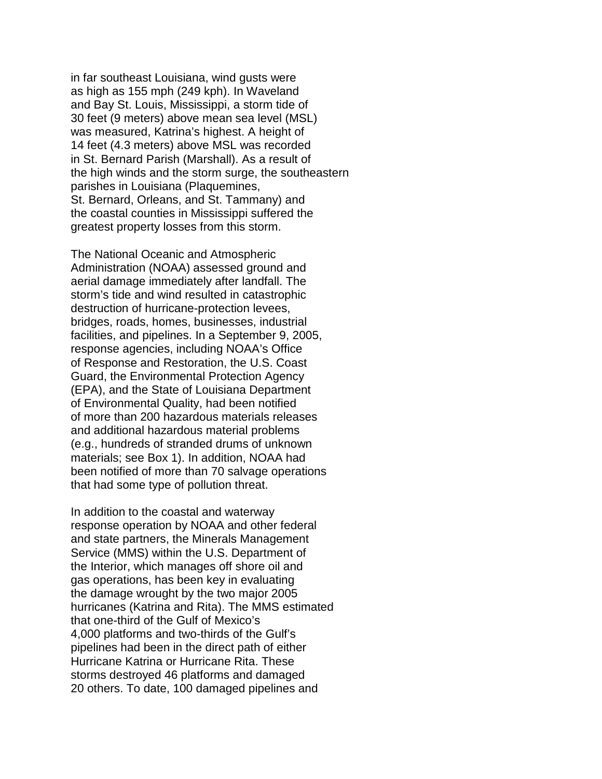in far southeast Louisiana, wind gusts were as high as 155 mph (249 kph). In Waveland and Bay St. Louis, Mississippi, a storm tide of 30 feet (9 meters) above mean sea level (MSL) was measured, Katrina's highest. A height of 14 feet (4.3 meters) above MSL was recorded in St. Bernard Parish (Marshall). As a result of the high winds and the storm surge, the southeastern parishes in Louisiana (Plaquemines, St. Bernard, Orleans, and St. Tammany) and the coastal counties in Mississippi suffered the greatest property losses from this storm.

The National Oceanic and Atmospheric Administration (NOAA) assessed ground and aerial damage immediately after landfall. The storm's tide and wind resulted in catastrophic destruction of hurricane-protection levees, bridges, roads, homes, businesses, industrial facilities, and pipelines. In a September 9, 2005, response agencies, including NOAA's Office of Response and Restoration, the U.S. Coast Guard, the Environmental Protection Agency (EPA), and the State of Louisiana Department of Environmental Quality, had been notified of more than 200 hazardous materials releases and additional hazardous material problems (e.g., hundreds of stranded drums of unknown materials; see Box 1). In addition, NOAA had been notified of more than 70 salvage operations that had some type of pollution threat.

In addition to the coastal and waterway response operation by NOAA and other federal and state partners, the Minerals Management Service (MMS) within the U.S. Department of the Interior, which manages off shore oil and gas operations, has been key in evaluating the damage wrought by the two major 2005 hurricanes (Katrina and Rita). The MMS estimated that one-third of the Gulf of Mexico's 4,000 platforms and two-thirds of the Gulf's pipelines had been in the direct path of either Hurricane Katrina or Hurricane Rita. These storms destroyed 46 platforms and damaged 20 others. To date, 100 damaged pipelines and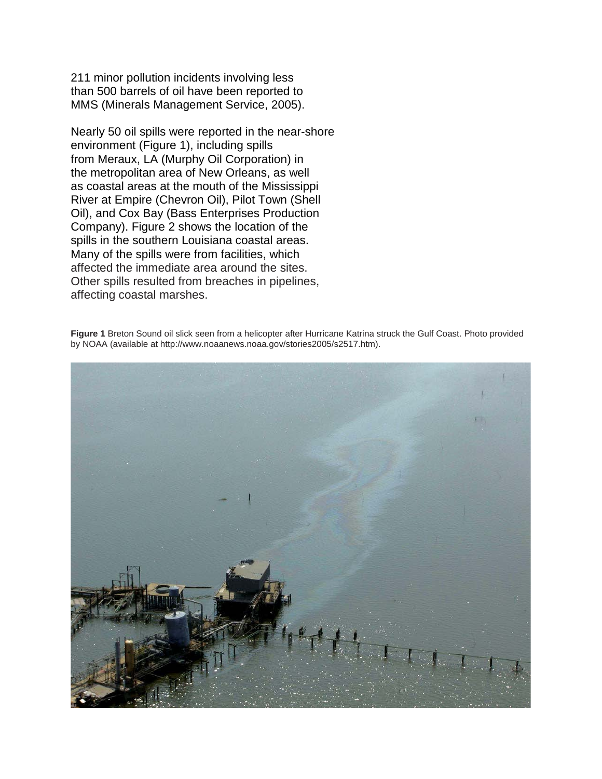211 minor pollution incidents involving less than 500 barrels of oil have been reported to MMS (Minerals Management Service, 2005).

Nearly 50 oil spills were reported in the near-shore environment (Figure 1), including spills from Meraux, LA (Murphy Oil Corporation) in the metropolitan area of New Orleans, as well as coastal areas at the mouth of the Mississippi River at Empire (Chevron Oil), Pilot Town (Shell Oil), and Cox Bay (Bass Enterprises Production Company). Figure 2 shows the location of the spills in the southern Louisiana coastal areas. Many of the spills were from facilities, which affected the immediate area around the sites. Other spills resulted from breaches in pipelines, affecting coastal marshes.

**Figure 1** Breton Sound oil slick seen from a helicopter after Hurricane Katrina struck the Gulf Coast. Photo provided by NOAA (available at http://www.noaanews.noaa.gov/stories2005/s2517.htm).

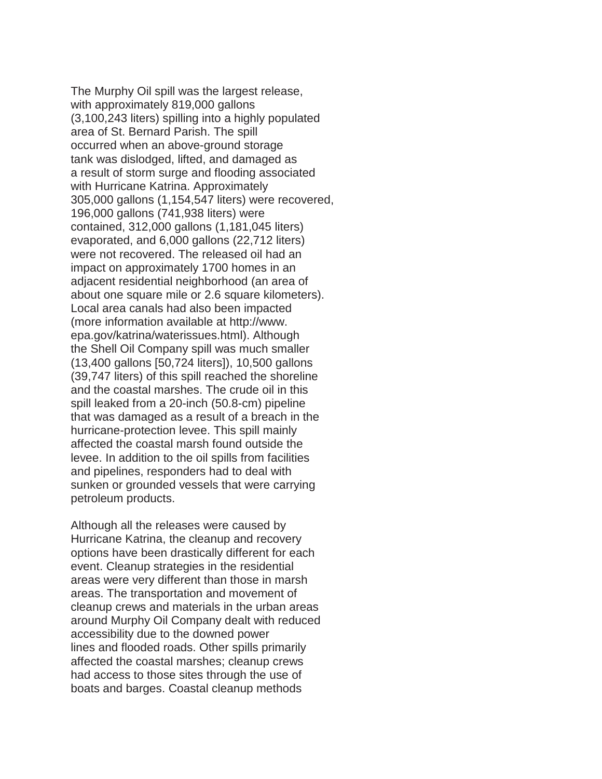The Murphy Oil spill was the largest release, with approximately 819,000 gallons (3,100,243 liters) spilling into a highly populated area of St. Bernard Parish. The spill occurred when an above-ground storage tank was dislodged, lifted, and damaged as a result of storm surge and flooding associated with Hurricane Katrina. Approximately 305,000 gallons (1,154,547 liters) were recovered, 196,000 gallons (741,938 liters) were contained, 312,000 gallons (1,181,045 liters) evaporated, and 6,000 gallons (22,712 liters) were not recovered. The released oil had an impact on approximately 1700 homes in an adjacent residential neighborhood (an area of about one square mile or 2.6 square kilometers). Local area canals had also been impacted (more information available at http://www. epa.gov/katrina/waterissues.html). Although the Shell Oil Company spill was much smaller (13,400 gallons [50,724 liters]), 10,500 gallons (39,747 liters) of this spill reached the shoreline and the coastal marshes. The crude oil in this spill leaked from a 20-inch (50.8-cm) pipeline that was damaged as a result of a breach in the hurricane-protection levee. This spill mainly affected the coastal marsh found outside the levee. In addition to the oil spills from facilities and pipelines, responders had to deal with sunken or grounded vessels that were carrying petroleum products.

Although all the releases were caused by Hurricane Katrina, the cleanup and recovery options have been drastically different for each event. Cleanup strategies in the residential areas were very different than those in marsh areas. The transportation and movement of cleanup crews and materials in the urban areas around Murphy Oil Company dealt with reduced accessibility due to the downed power lines and flooded roads. Other spills primarily affected the coastal marshes; cleanup crews had access to those sites through the use of boats and barges. Coastal cleanup methods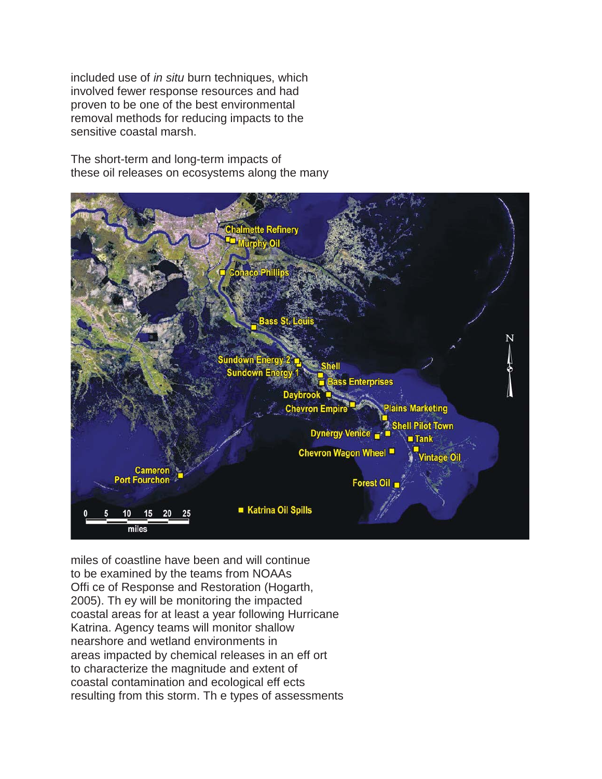included use of *in situ* burn techniques, which involved fewer response resources and had proven to be one of the best environmental removal methods for reducing impacts to the sensitive coastal marsh.

The short-term and long-term impacts of these oil releases on ecosystems along the many



miles of coastline have been and will continue to be examined by the teams from NOAAs Offi ce of Response and Restoration (Hogarth, 2005). Th ey will be monitoring the impacted coastal areas for at least a year following Hurricane Katrina. Agency teams will monitor shallow nearshore and wetland environments in areas impacted by chemical releases in an eff ort to characterize the magnitude and extent of coastal contamination and ecological eff ects resulting from this storm. Th e types of assessments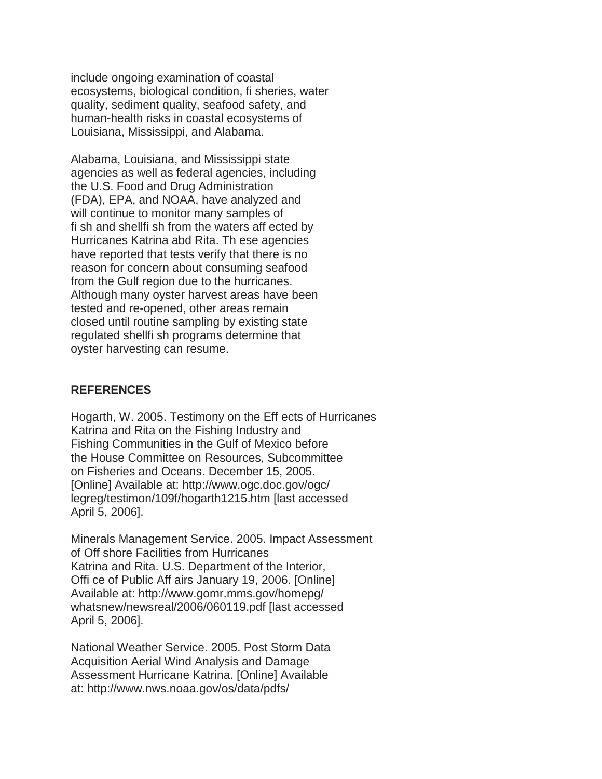include ongoing examination of coastal ecosystems, biological condition, fi sheries, water quality, sediment quality, seafood safety, and human-health risks in coastal ecosystems of Louisiana, Mississippi, and Alabama.

Alabama, Louisiana, and Mississippi state agencies as well as federal agencies, including the U.S. Food and Drug Administration (FDA), EPA, and NOAA, have analyzed and will continue to monitor many samples of fi sh and shellfi sh from the waters aff ected by Hurricanes Katrina abd Rita. Th ese agencies have reported that tests verify that there is no reason for concern about consuming seafood from the Gulf region due to the hurricanes. Although many oyster harvest areas have been tested and re-opened, other areas remain closed until routine sampling by existing state regulated shellfi sh programs determine that oyster harvesting can resume.

## **REFERENCES**

Hogarth, W. 2005. Testimony on the Eff ects of Hurricanes Katrina and Rita on the Fishing Industry and Fishing Communities in the Gulf of Mexico before the House Committee on Resources, Subcommittee on Fisheries and Oceans. December 15, 2005. [Online] Available at: http://www.ogc.doc.gov/ogc/ legreg/testimon/109f/hogarth1215.htm [last accessed April 5, 2006].

Minerals Management Service. 2005. Impact Assessment of Off shore Facilities from Hurricanes Katrina and Rita. U.S. Department of the Interior, Offi ce of Public Aff airs January 19, 2006. [Online] Available at: http://www.gomr.mms.gov/homepg/ whatsnew/newsreal/2006/060119.pdf [last accessed April 5, 2006].

National Weather Service. 2005. Post Storm Data Acquisition Aerial Wind Analysis and Damage Assessment Hurricane Katrina. [Online] Available at: http://www.nws.noaa.gov/os/data/pdfs/